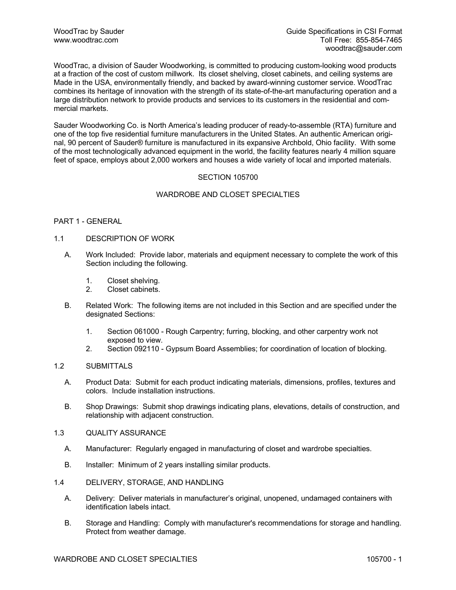WoodTrac, a division of Sauder Woodworking, is committed to producing custom-looking wood products at a fraction of the cost of custom millwork. Its closet shelving, closet cabinets, and ceiling systems are Made in the USA, environmentally friendly, and backed by award-winning customer service. WoodTrac combines its heritage of innovation with the strength of its state-of-the-art manufacturing operation and a large distribution network to provide products and services to its customers in the residential and commercial markets.

Sauder Woodworking Co. is North America's leading producer of ready-to-assemble (RTA) furniture and one of the top five residential furniture manufacturers in the United States. An authentic American original, 90 percent of Sauder® furniture is manufactured in its expansive Archbold, Ohio facility. With some of the most technologically advanced equipment in the world, the facility features nearly 4 million square feet of space, employs about 2,000 workers and houses a wide variety of local and imported materials.

# SECTION 105700

# WARDROBE AND CLOSET SPECIALTIES

## PART 1 - GENERAL

## 1.1 DESCRIPTION OF WORK

- A. Work Included: Provide labor, materials and equipment necessary to complete the work of this Section including the following.
	- 1. Closet shelving.
	- 2. Closet cabinets.
- B. Related Work: The following items are not included in this Section and are specified under the designated Sections:
	- 1. Section 061000 Rough Carpentry; furring, blocking, and other carpentry work not exposed to view.
	- 2. Section 092110 Gypsum Board Assemblies; for coordination of location of blocking.

# 1.2 SUBMITTALS

- A. Product Data: Submit for each product indicating materials, dimensions, profiles, textures and colors. Include installation instructions.
- B. Shop Drawings: Submit shop drawings indicating plans, elevations, details of construction, and relationship with adjacent construction.
- 1.3 QUALITY ASSURANCE
	- A. Manufacturer: Regularly engaged in manufacturing of closet and wardrobe specialties.
	- B. Installer: Minimum of 2 years installing similar products.
- 1.4 DELIVERY, STORAGE, AND HANDLING
	- A. Delivery: Deliver materials in manufacturer's original, unopened, undamaged containers with identification labels intact.
	- B. Storage and Handling: Comply with manufacturer's recommendations for storage and handling. Protect from weather damage.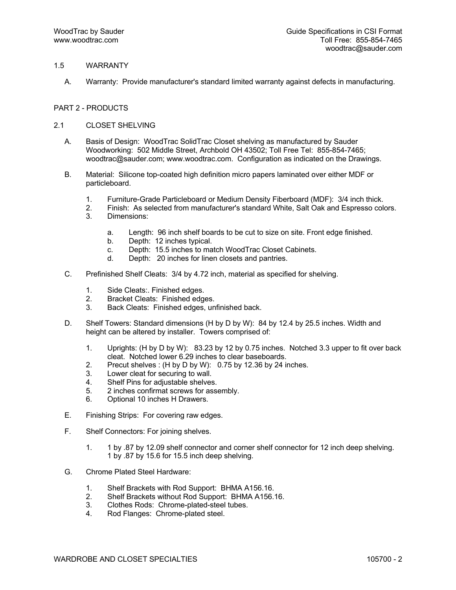# 1.5 WARRANTY

A. Warranty: Provide manufacturer's standard limited warranty against defects in manufacturing.

## PART 2 - PRODUCTS

- 2.1 CLOSET SHELVING
	- A. Basis of Design: WoodTrac SolidTrac Closet shelving as manufactured by Sauder Woodworking: 502 Middle Street, Archbold OH 43502; Toll Free Tel: 855-854-7465; woodtrac@sauder.com; www.woodtrac.com. Configuration as indicated on the Drawings.
	- B. Material: Silicone top-coated high definition micro papers laminated over either MDF or particleboard.
		- 1. Furniture-Grade Particleboard or Medium Density Fiberboard (MDF): 3/4 inch thick.
		- 2. Finish: As selected from manufacturer's standard White, Salt Oak and Espresso colors.
		- 3. Dimensions:
			- a. Length: 96 inch shelf boards to be cut to size on site. Front edge finished.
			- b. Depth: 12 inches typical.
			- c. Depth: 15.5 inches to match WoodTrac Closet Cabinets.
			- d. Depth: 20 inches for linen closets and pantries.
	- C. Prefinished Shelf Cleats: 3/4 by 4.72 inch, material as specified for shelving.
		- 1. Side Cleats:. Finished edges.
		- 2. Bracket Cleats: Finished edges.
		- 3. Back Cleats: Finished edges, unfinished back.
	- D. Shelf Towers: Standard dimensions (H by D by W): 84 by 12.4 by 25.5 inches. Width and height can be altered by installer. Towers comprised of:
		- 1. Uprights: (H by D by W): 83.23 by 12 by 0.75 inches. Notched 3.3 upper to fit over back cleat. Notched lower 6.29 inches to clear baseboards.
		- 2. Precut shelves : (H by D by W): 0.75 by 12.36 by 24 inches.
		- 3. Lower cleat for securing to wall.
		- 4. Shelf Pins for adjustable shelves.
		- 5. 2 inches confirmat screws for assembly.
		- 6. Optional 10 inches H Drawers.
	- E. Finishing Strips: For covering raw edges.
	- F. Shelf Connectors: For joining shelves.
		- 1. 1 by .87 by 12.09 shelf connector and corner shelf connector for 12 inch deep shelving. 1 by .87 by 15.6 for 15.5 inch deep shelving.
	- G. Chrome Plated Steel Hardware:
		- 1. Shelf Brackets with Rod Support: BHMA A156.16.
		- 2. Shelf Brackets without Rod Support: BHMA A156.16.
		- 3. Clothes Rods: Chrome-plated-steel tubes.
		- 4. Rod Flanges: Chrome-plated steel.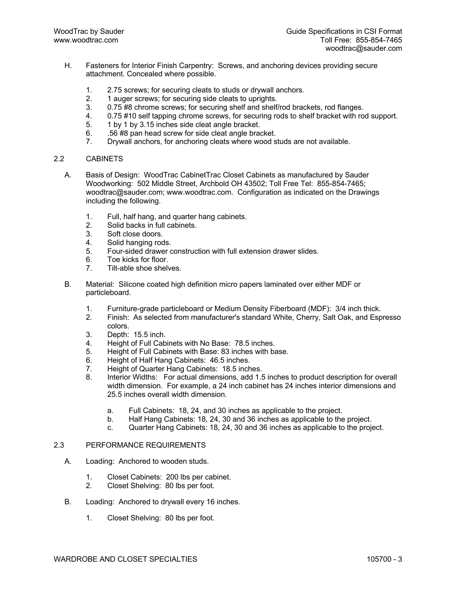- H. Fasteners for Interior Finish Carpentry: Screws, and anchoring devices providing secure attachment. Concealed where possible.
	- 1. 2.75 screws; for securing cleats to studs or drywall anchors.
	- 2. 1 auger screws; for securing side cleats to uprights.
	- 3. 0.75 #8 chrome screws; for securing shelf and shelf/rod brackets, rod flanges.
	- 4. 0.75 #10 self tapping chrome screws, for securing rods to shelf bracket with rod support.
	- 5. 1 by 1 by 3.15 inches side cleat angle bracket.
	- 6. .56 #8 pan head screw for side cleat angle bracket.
	- 7. Drywall anchors, for anchoring cleats where wood studs are not available.

#### 2.2 CABINETS

- A. Basis of Design: WoodTrac CabinetTrac Closet Cabinets as manufactured by Sauder Woodworking: 502 Middle Street, Archbold OH 43502; Toll Free Tel: 855-854-7465; woodtrac@sauder.com; www.woodtrac.com. Configuration as indicated on the Drawings including the following.
	- 1. Full, half hang, and quarter hang cabinets.<br>2. Solid backs in full cabinets.
	- Solid backs in full cabinets.
	- 3. Soft close doors.
	- 4. Solid hanging rods.
	- 5. Four-sided drawer construction with full extension drawer slides.
	- 6. Toe kicks for floor.
	- 7. Tilt-able shoe shelves.
- B. Material: Silicone coated high definition micro papers laminated over either MDF or particleboard.
	- 1. Furniture-grade particleboard or Medium Density Fiberboard (MDF): 3/4 inch thick.
	- 2. Finish: As selected from manufacturer's standard White, Cherry, Salt Oak, and Espresso colors.
	- 3. Depth: 15.5 inch.
	- 4. Height of Full Cabinets with No Base: 78.5 inches.
	- 5. Height of Full Cabinets with Base: 83 inches with base.
	- 6. Height of Half Hang Cabinets: 46.5 inches.
	- 7. Height of Quarter Hang Cabinets: 18.5 inches.
	- 8. Interior Widths: For actual dimensions, add 1.5 inches to product description for overall width dimension. For example, a 24 inch cabinet has 24 inches interior dimensions and 25.5 inches overall width dimension.
		- a. Full Cabinets: 18, 24, and 30 inches as applicable to the project.
		- b. Half Hang Cabinets: 18, 24, 30 and 36 inches as applicable to the project.
		- c. Quarter Hang Cabinets: 18, 24, 30 and 36 inches as applicable to the project.

#### 2.3 PERFORMANCE REQUIREMENTS

- A. Loading: Anchored to wooden studs.
	- 1. Closet Cabinets: 200 lbs per cabinet.
	- 2. Closet Shelving: 80 lbs per foot.
- B. Loading: Anchored to drywall every 16 inches.
	- 1. Closet Shelving: 80 lbs per foot.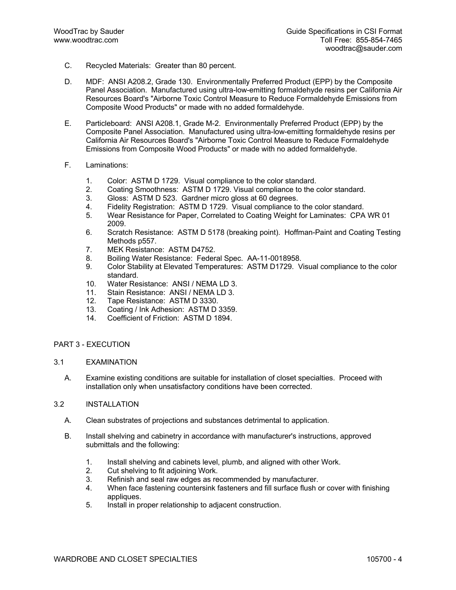- C. Recycled Materials: Greater than 80 percent.
- D. MDF: ANSI A208.2, Grade 130. Environmentally Preferred Product (EPP) by the Composite Panel Association. Manufactured using ultra-low-emitting formaldehyde resins per California Air Resources Board's "Airborne Toxic Control Measure to Reduce Formaldehyde Emissions from Composite Wood Products" or made with no added formaldehyde.
- E. Particleboard: ANSI A208.1, Grade M-2. Environmentally Preferred Product (EPP) by the Composite Panel Association. Manufactured using ultra-low-emitting formaldehyde resins per California Air Resources Board's "Airborne Toxic Control Measure to Reduce Formaldehyde Emissions from Composite Wood Products" or made with no added formaldehyde.
- F. Laminations:
	- 1. Color: ASTM D 1729. Visual compliance to the color standard.
	- 2. Coating Smoothness: ASTM D 1729. Visual compliance to the color standard.
	- 3. Gloss: ASTM D 523. Gardner micro gloss at 60 degrees.
	- 4. Fidelity Registration: ASTM D 1729. Visual compliance to the color standard.
	- 5. Wear Resistance for Paper, Correlated to Coating Weight for Laminates: CPA WR 01 2009.
	- 6. Scratch Resistance: ASTM D 5178 (breaking point). Hoffman-Paint and Coating Testing Methods p557.
	- 7. MEK Resistance: ASTM D4752.
	- 8. Boiling Water Resistance: Federal Spec. AA-11-0018958.
	- 9. Color Stability at Elevated Temperatures: ASTM D1729. Visual compliance to the color standard.
	- 10. Water Resistance: ANSI / NEMA LD 3.
	- 11. Stain Resistance: ANSI / NEMA LD 3.
	- 12. Tape Resistance: ASTM D 3330.
	- 13. Coating / Ink Adhesion: ASTM D 3359.<br>14. Coefficient of Friction: ASTM D 1894.
	- Coefficient of Friction: ASTM D 1894.

## PART 3 - EXECUTION

- 3.1 EXAMINATION
	- A. Examine existing conditions are suitable for installation of closet specialties. Proceed with installation only when unsatisfactory conditions have been corrected.
- 3.2 INSTALLATION
	- A. Clean substrates of projections and substances detrimental to application.
	- B. Install shelving and cabinetry in accordance with manufacturer's instructions, approved submittals and the following:
		- 1. Install shelving and cabinets level, plumb, and aligned with other Work.
		- 2. Cut shelving to fit adjoining Work.
		- 3. Refinish and seal raw edges as recommended by manufacturer.
		- 4. When face fastening countersink fasteners and fill surface flush or cover with finishing appliques.
		- 5. Install in proper relationship to adjacent construction.